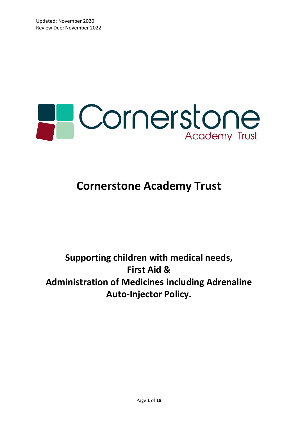

# **Cornerstone Academy Trust**

## **Supporting children with medical needs, First Aid & Administration of Medicines including Adrenaline Auto-Injector Policy.**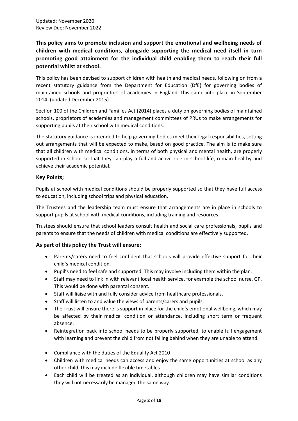**This policy aims to promote inclusion and support the emotional and wellbeing needs of children with medical conditions, alongside supporting the medical need itself in turn promoting good attainment for the individual child enabling them to reach their full potential whilst at school.**

This policy has been devised to support children with health and medical needs, following on from a recent statutory guidance from the Department for Education (DfE) for governing bodies of maintained schools and proprietors of academies in England, this came into place in September 2014. (updated December 2015)

Section 100 of the Children and Families Act (2014) places a duty on governing bodies of maintained schools, proprietors of academies and management committees of PRUs to make arrangements for supporting pupils at their school with medical conditions.

The statutory guidance is intended to help governing bodies meet their legal responsibilities, setting out arrangements that will be expected to make, based on good practice. The aim is to make sure that all children with medical conditions, in terms of both physical and mental health, are properly supported in school so that they can play a full and active role in school life, remain healthy and achieve their academic potential.

#### **Key Points;**

Pupils at school with medical conditions should be properly supported so that they have full access to education, including school trips and physical education.

The Trustees and the leadership team must ensure that arrangements are in place in schools to support pupils at school with medical conditions, including training and resources.

Trustees should ensure that school leaders consult health and social care professionals, pupils and parents to ensure that the needs of children with medical conditions are effectively supported.

#### **As part of this policy the Trust will ensure;**

- Parents/carers need to feel confident that schools will provide effective support for their child's medical condition.
- Pupil's need to feel safe and supported. This may involve including them within the plan.
- Staff may need to link in with relevant local health service, for example the school nurse, GP. This would be done with parental consent.
- Staff will liaise with and fully consider advice from healthcare professionals.
- Staff will listen to and value the views of parents/carers and pupils.
- The Trust will ensure there is support in place for the child's emotional wellbeing, which may be affected by their medical condition or attendance, including short term or frequent absence.
- Reintegration back into school needs to be properly supported, to enable full engagement with learning and prevent the child from not falling behind when they are unable to attend.
- Compliance with the duties of the Equality Act 2010
- Children with medical needs can access and enjoy the same opportunities at school as any other child, this may include flexible timetables
- Each child will be treated as an individual, although children may have similar conditions they will not necessarily be managed the same way.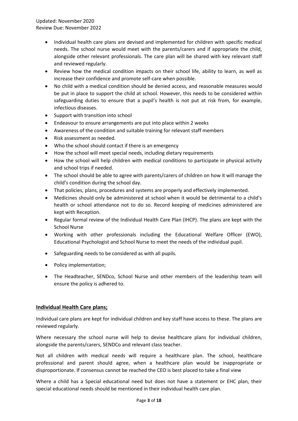- Individual health care plans are devised and implemented for children with specific medical needs. The school nurse would meet with the parents/carers and if appropriate the child, alongside other relevant professionals. The care plan will be shared with key relevant staff and reviewed regularly.
- Review how the medical condition impacts on their school life, ability to learn, as well as increase their confidence and promote self-care when possible.
- No child with a medical condition should be denied access, and reasonable measures would be put in place to support the child at school. However, this needs to be considered within safeguarding duties to ensure that a pupil's health is not put at risk from, for example, infectious diseases.
- Support with transition into school
- Endeavour to ensure arrangements are put into place within 2 weeks
- Awareness of the condition and suitable training for relevant staff members
- Risk assessment as needed.
- Who the school should contact if there is an emergency
- How the school will meet special needs, including dietary requirements
- How the school will help children with medical conditions to participate in physical activity and school trips if needed.
- The school should be able to agree with parents/carers of children on how it will manage the child's condition during the school day.
- That policies, plans, procedures and systems are properly and effectively implemented.
- Medicines should only be administered at school when it would be detrimental to a child's health or school attendance not to do so. Record keeping of medicines administered are kept with Reception.
- Regular formal review of the Individual Health Care Plan (IHCP). The plans are kept with the School Nurse
- Working with other professionals including the Educational Welfare Officer (EWO), Educational Psychologist and School Nurse to meet the needs of the individual pupil.
- Safeguarding needs to be considered as with all pupils.
- Policy implementation;
- The Headteacher, SENDco, School Nurse and other members of the leadership team will ensure the policy is adhered to.

#### **Individual Health Care plans;**

Individual care plans are kept for individual children and key staff have access to these. The plans are reviewed regularly.

Where necessary the school nurse will help to devise healthcare plans for individual children, alongside the parents/carers, SENDCo and relevant class teacher.

Not all children with medical needs will require a healthcare plan. The school, healthcare professional and parent should agree, when a healthcare plan would be inappropriate or disproportionate. If consensus cannot be reached the CEO is best placed to take a final view

Where a child has a Special educational need but does not have a statement or EHC plan, their special educational needs should be mentioned in their individual health care plan.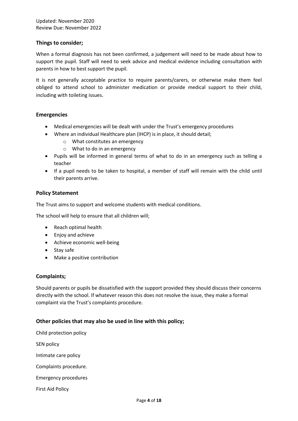#### **Things to consider;**

When a formal diagnosis has not been confirmed, a judgement will need to be made about how to support the pupil. Staff will need to seek advice and medical evidence including consultation with parents in how to best support the pupil.

It is not generally acceptable practice to require parents/carers, or otherwise make them feel obliged to attend school to administer medication or provide medical support to their child, including with toileting issues.

#### **Emergencies**

- Medical emergencies will be dealt with under the Trust's emergency procedures
- Where an individual Healthcare plan (IHCP) is in place, it should detail;
	- o What constitutes an emergency
	- o What to do in an emergency
- Pupils will be informed in general terms of what to do in an emergency such as telling a teacher
- If a pupil needs to be taken to hospital, a member of staff will remain with the child until their parents arrive.

#### **Policy Statement**

The Trust aims to support and welcome students with medical conditions.

The school will help to ensure that all children will;

- Reach optimal health
- Enjoy and achieve
- Achieve economic well-being
- Stay safe
- Make a positive contribution

#### **Complaints;**

Should parents or pupils be dissatisfied with the support provided they should discuss their concerns directly with the school. If whatever reason this does not resolve the issue, they make a formal complaint via the Trust's complaints procedure.

#### **Other policies that may also be used in line with this policy;**

Child protection policy SEN policy Intimate care policy Complaints procedure. Emergency procedures First Aid Policy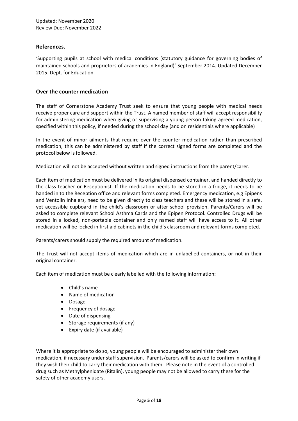#### **References.**

'Supporting pupils at school with medical conditions (statutory guidance for governing bodies of maintained schools and proprietors of academies in England)' September 2014. Updated December 2015. Dept. for Education.

#### **Over the counter medication**

The staff of Cornerstone Academy Trust seek to ensure that young people with medical needs receive proper care and support within the Trust. A named member of staff will accept responsibility for administering medication when giving or supervising a young person taking agreed medication, specified within this policy, if needed during the school day (and on residentials where applicable)

In the event of minor ailments that require over the counter medication rather than prescribed medication, this can be administered by staff if the correct signed forms are completed and the protocol below is followed.

Medication will not be accepted without written and signed instructions from the parent/carer.

Each item of medication must be delivered in its original dispensed container. and handed directly to the class teacher or Receptionist. If the medication needs to be stored in a fridge, it needs to be handed in to the Reception office and relevant forms completed. Emergency medication, e.g Epipens and Ventolin Inhalers, need to be given directly to class teachers and these will be stored in a safe, yet accessible cupboard in the child's classroom or after school provision. Parents/Carers will be asked to complete relevant School Asthma Cards and the Epipen Protocol. Controlled Drugs will be stored in a locked, non-portable container and only named staff will have access to it. All other medication will be locked in first aid cabinets in the child's classroom and relevant forms completed.

Parents/carers should supply the required amount of medication.

The Trust will not accept items of medication which are in unlabelled containers, or not in their original container.

Each item of medication must be clearly labelled with the following information:

- Child's name
- Name of medication
- Dosage
- Frequency of dosage
- Date of dispensing
- Storage requirements (if any)
- Expiry date (if available)

Where it is appropriate to do so, young people will be encouraged to administer their own medication, if necessary under staff supervision. Parents/carers will be asked to confirm in writing if they wish their child to carry their medication with them. Please note in the event of a controlled drug such as Methylphenidate (Ritalin), young people may not be allowed to carry these for the safety of other academy users.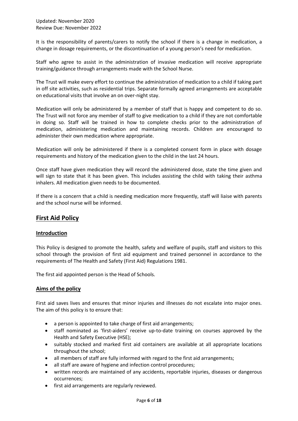It is the responsibility of parents/carers to notify the school if there is a change in medication, a change in dosage requirements, or the discontinuation of a young person's need for medication.

Staff who agree to assist in the administration of invasive medication will receive appropriate training/guidance through arrangements made with the School Nurse.

The Trust will make every effort to continue the administration of medication to a child if taking part in off site activities, such as residential trips. Separate formally agreed arrangements are acceptable on educational visits that involve an on over-night stay.

Medication will only be administered by a member of staff that is happy and competent to do so. The Trust will not force any member of staff to give medication to a child if they are not comfortable in doing so. Staff will be trained in how to complete checks prior to the administration of medication, administering medication and maintaining records. Children are encouraged to administer their own medication where appropriate.

Medication will only be administered if there is a completed consent form in place with dosage requirements and history of the medication given to the child in the last 24 hours.

Once staff have given medication they will record the administered dose, state the time given and will sign to state that it has been given. This includes assisting the child with taking their asthma inhalers. All medication given needs to be documented.

If there is a concern that a child is needing medication more frequently, staff will liaise with parents and the school nurse will be informed.

## **First Aid Policy**

#### **Introduction**

This Policy is designed to promote the health, safety and welfare of pupils, staff and visitors to this school through the provision of first aid equipment and trained personnel in accordance to the requirements of The Health and Safety (First Aid) Regulations 1981.

The first aid appointed person is the Head of Schools.

#### **Aims of the policy**

First aid saves lives and ensures that minor injuries and illnesses do not escalate into major ones. The aim of this policy is to ensure that:

- a person is appointed to take charge of first aid arrangements;
- staff nominated as 'first-aiders' receive up-to-date training on courses approved by the Health and Safety Executive (HSE);
- suitably stocked and marked first aid containers are available at all appropriate locations throughout the school;
- all members of staff are fully informed with regard to the first aid arrangements;
- all staff are aware of hygiene and infection control procedures;
- written records are maintained of any accidents, reportable injuries, diseases or dangerous occurrences;
- first aid arrangements are regularly reviewed.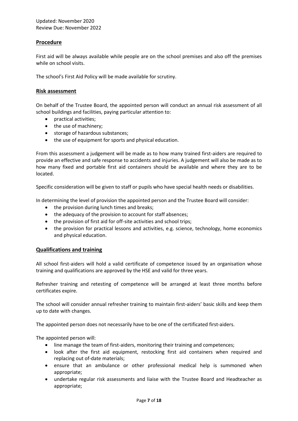#### **Procedure**

First aid will be always available while people are on the school premises and also off the premises while on school visits.

The school's First Aid Policy will be made available for scrutiny.

#### **Risk assessment**

On behalf of the Trustee Board, the appointed person will conduct an annual risk assessment of all school buildings and facilities, paying particular attention to:

- practical activities;
- the use of machinery;
- storage of hazardous substances;
- the use of equipment for sports and physical education.

From this assessment a judgement will be made as to how many trained first-aiders are required to provide an effective and safe response to accidents and injuries. A judgement will also be made as to how many fixed and portable first aid containers should be available and where they are to be located.

Specific consideration will be given to staff or pupils who have special health needs or disabilities.

In determining the level of provision the appointed person and the Trustee Board will consider:

- the provision during lunch times and breaks;
- the adequacy of the provision to account for staff absences;
- the provision of first aid for off-site activities and school trips;
- the provision for practical lessons and activities, e.g. science, technology, home economics and physical education.

#### **Qualifications and training**

All school first-aiders will hold a valid certificate of competence issued by an organisation whose training and qualifications are approved by the HSE and valid for three years.

Refresher training and retesting of competence will be arranged at least three months before certificates expire.

The school will consider annual refresher training to maintain first-aiders' basic skills and keep them up to date with changes.

The appointed person does not necessarily have to be one of the certificated first-aiders.

The appointed person will:

- line manage the team of first-aiders, monitoring their training and competences;
- look after the first aid equipment, restocking first aid containers when required and replacing out of-date materials;
- ensure that an ambulance or other professional medical help is summoned when appropriate;
- undertake regular risk assessments and liaise with the Trustee Board and Headteacher as appropriate;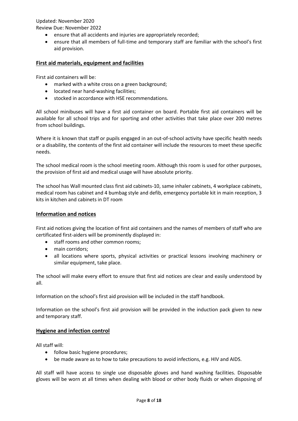Updated: November 2020 Review Due: November 2022

- ensure that all accidents and injuries are appropriately recorded;
- ensure that all members of full-time and temporary staff are familiar with the school's first aid provision.

#### **First aid materials, equipment and facilities**

First aid containers will be:

- marked with a white cross on a green background;
- located near hand-washing facilities;
- stocked in accordance with HSE recommendations.

All school minibuses will have a first aid container on board. Portable first aid containers will be available for all school trips and for sporting and other activities that take place over 200 metres from school buildings.

Where it is known that staff or pupils engaged in an out-of-school activity have specific health needs or a disability, the contents of the first aid container will include the resources to meet these specific needs.

The school medical room is the school meeting room. Although this room is used for other purposes, the provision of first aid and medical usage will have absolute priority.

The school has Wall mounted class first aid cabinets-10, same inhaler cabinets, 4 workplace cabinets, medical room has cabinet and 4 bumbag style and defib, emergency portable kit in main reception, 3 kits in kitchen and cabinets in DT room

#### **Information and notices**

First aid notices giving the location of first aid containers and the names of members of staff who are certificated first-aiders will be prominently displayed in:

- staff rooms and other common rooms;
- main corridors;
- all locations where sports, physical activities or practical lessons involving machinery or similar equipment, take place.

The school will make every effort to ensure that first aid notices are clear and easily understood by all.

Information on the school's first aid provision will be included in the staff handbook.

Information on the school's first aid provision will be provided in the induction pack given to new and temporary staff.

#### **Hygiene and infection control**

All staff will:

- follow basic hygiene procedures;
- be made aware as to how to take precautions to avoid infections, e.g. HIV and AIDS.

All staff will have access to single use disposable gloves and hand washing facilities. Disposable gloves will be worn at all times when dealing with blood or other body fluids or when disposing of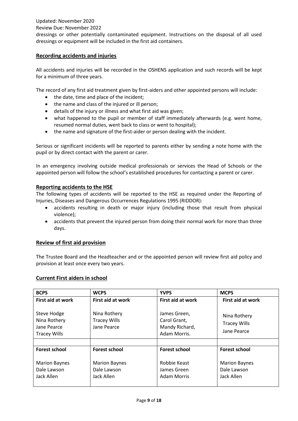Updated: November 2020

#### Review Due: November 2022

dressings or other potentially contaminated equipment. Instructions on the disposal of all used dressings or equipment will be included in the first aid containers.

#### **Recording accidents and injuries**

All accidents and injuries will be recorded in the OSHENS application and such records will be kept for a minimum of three years.

The record of any first aid treatment given by first-aiders and other appointed persons will include:

- the date, time and place of the incident;
- the name and class of the injured or ill person;
- details of the injury or illness and what first aid was given;
- what happened to the pupil or member of staff immediately afterwards (e.g. went home, resumed normal duties, went back to class or went to hospital);
- the name and signature of the first-aider or person dealing with the incident.

Serious or significant incidents will be reported to parents either by sending a note home with the pupil or by direct contact with the parent or carer.

In an emergency involving outside medical professionals or services the Head of Schools or the appointed person will follow the school's established procedures for contacting a parent or carer.

#### **Reporting accidents to the HSE**

The following types of accidents will be reported to the HSE as required under the Reporting of Injuries, Diseases and Dangerous Occurrences Regulations 1995 (RIDDOR):

- accidents resulting in death or major injury (including those that result from physical violence);
- accidents that prevent the injured person from doing their normal work for more than three days.

#### **Review of first aid provision**

The Trustee Board and the Headteacher and or the appointed person will review first aid policy and provision at least once every two years.

#### **Current First aiders in school**

| <b>BCPS</b>                                                       | <b>WCPS</b>                                        | <b>YVPS</b>                                                    | <b>MCPS</b>                                        |
|-------------------------------------------------------------------|----------------------------------------------------|----------------------------------------------------------------|----------------------------------------------------|
| <b>First aid at work</b>                                          | <b>First aid at work</b>                           | First aid at work                                              | <b>First aid at work</b>                           |
| Steve Hodge<br>Nina Rothery<br>Jane Pearce<br><b>Tracey Wills</b> | Nina Rothery<br><b>Tracey Wills</b><br>Jane Pearce | James Green,<br>Carol Grant,<br>Mandy Richard,<br>Adam Morris. | Nina Rothery<br><b>Tracey Wills</b><br>Jane Pearce |
|                                                                   |                                                    |                                                                |                                                    |
| <b>Forest school</b>                                              | <b>Forest school</b>                               | <b>Forest school</b>                                           | <b>Forest school</b>                               |
| <b>Marion Baynes</b><br>Dale Lawson<br>Jack Allen                 | <b>Marion Baynes</b><br>Dale Lawson<br>Jack Allen  | Robbie Keast<br>James Green<br><b>Adam Morris</b>              | <b>Marion Baynes</b><br>Dale Lawson<br>Jack Allen  |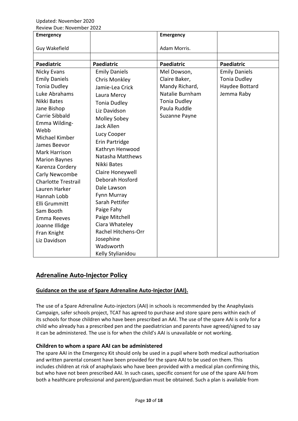| <b>Emergency</b>                                                                                                                                                                                                                                                                                                                                                                                                                               |                                                                                                                                                                                                                                                                                                                                                                                                                                                           | <b>Emergency</b>                                                                                                          |                                                                             |
|------------------------------------------------------------------------------------------------------------------------------------------------------------------------------------------------------------------------------------------------------------------------------------------------------------------------------------------------------------------------------------------------------------------------------------------------|-----------------------------------------------------------------------------------------------------------------------------------------------------------------------------------------------------------------------------------------------------------------------------------------------------------------------------------------------------------------------------------------------------------------------------------------------------------|---------------------------------------------------------------------------------------------------------------------------|-----------------------------------------------------------------------------|
| Guy Wakefield                                                                                                                                                                                                                                                                                                                                                                                                                                  |                                                                                                                                                                                                                                                                                                                                                                                                                                                           | Adam Morris.                                                                                                              |                                                                             |
|                                                                                                                                                                                                                                                                                                                                                                                                                                                |                                                                                                                                                                                                                                                                                                                                                                                                                                                           |                                                                                                                           |                                                                             |
| <b>Paediatric</b>                                                                                                                                                                                                                                                                                                                                                                                                                              | <b>Paediatric</b>                                                                                                                                                                                                                                                                                                                                                                                                                                         | <b>Paediatric</b>                                                                                                         | <b>Paediatric</b>                                                           |
| Nicky Evans<br><b>Emily Daniels</b><br><b>Tonia Dudley</b><br>Luke Abrahams<br>Nikki Bates<br>Jane Bishop<br>Carrie Sibbald<br>Emma Wilding-<br>Webb<br>Michael Kimber<br>James Beevor<br>Mark Harrison<br><b>Marion Baynes</b><br>Karenza Cordery<br>Carly Newcombe<br><b>Charlotte Trestrail</b><br>Lauren Harker<br>Hannah Lobb<br><b>Elli Grummitt</b><br>Sam Booth<br><b>Emma Reeves</b><br>Joanne Illidge<br>Fran Knight<br>Liz Davidson | <b>Emily Daniels</b><br><b>Chris Monkley</b><br>Jamie-Lea Crick<br>Laura Mercy<br><b>Tonia Dudley</b><br>Liz Davidson<br>Molley Sobey<br>Jack Allen<br>Lucy Cooper<br>Erin Partridge<br>Kathryn Henwood<br>Natasha Matthews<br>Nikki Bates<br>Claire Honeywell<br>Deborah Hosford<br>Dale Lawson<br>Fynn Murray<br>Sarah Pettifer<br>Paige Fahy<br>Paige Mitchell<br>Ciara Whateley<br>Rachel Hitchens-Orr<br>Josephine<br>Wadsworth<br>Kelly Stylianidou | Mel Dowson,<br>Claire Baker,<br>Mandy Richard,<br>Natalie Burnham<br><b>Tonia Dudley</b><br>Paula Ruddle<br>Suzanne Payne | <b>Emily Daniels</b><br><b>Tonia Dudley</b><br>Haydee Bottard<br>Jemma Raby |

## **Adrenaline Auto-Injector Policy**

## **Guidance on the use of Spare Adrenaline Auto-Injector (AAI).**

The use of a Spare Adrenaline Auto-injectors (AAI) in schools is recommended by the Anaphylaxis Campaign, safer schools project, TCAT has agreed to purchase and store spare pens within each of its schools for those children who have been prescribed an AAI. The use of the spare AAI is only for a child who already has a prescribed pen and the paediatrician and parents have agreed/signed to say it can be administered. The use is for when the child's AAI is unavailable or not working.

#### **Children to whom a spare AAI can be administered**

The spare AAI in the Emergency Kit should only be used in a pupil where both medical authorisation and written parental consent have been provided for the spare AAI to be used on them. This includes children at risk of anaphylaxis who have been provided with a medical plan confirming this, but who have not been prescribed AAI. In such cases, specific consent for use of the spare AAI from both a healthcare professional and parent/guardian must be obtained. Such a plan is available from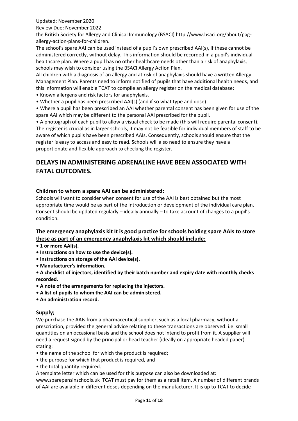Updated: November 2020

Review Due: November 2022

the British Society for Allergy and Clinical Immunology (BSACI) http://www.bsaci.org/about/pagallergy-action-plans-for-children.

The school's spare AAI can be used instead of a pupil's own prescribed AAI(s), if these cannot be administered correctly, without delay. This information should be recorded in a pupil's individual healthcare plan. Where a pupil has no other healthcare needs other than a risk of anaphylaxis, schools may wish to consider using the BSACI Allergy Action Plan.

All children with a diagnosis of an allergy and at risk of anaphylaxis should have a written Allergy Management Plan. Parents need to inform notified of pupils that have additional health needs, and this information will enable TCAT to compile an allergy register on the medical database:

- Known allergens and risk factors for anaphylaxis.
- Whether a pupil has been prescribed AAI(s) (and if so what type and dose)

• Where a pupil has been prescribed an AAI whether parental consent has been given for use of the spare AAI which may be different to the personal AAI prescribed for the pupil.

• A photograph of each pupil to allow a visual check to be made (this will require parental consent). The register is crucial as in larger schools, it may not be feasible for individual members of staff to be aware of which pupils have been prescribed AAIs. Consequently, schools should ensure that the register is easy to access and easy to read. Schools will also need to ensure they have a proportionate and flexible approach to checking the register.

## **DELAYS IN ADMINISTERING ADRENALINE HAVE BEEN ASSOCIATED WITH FATAL OUTCOMES.**

#### **Children to whom a spare AAI can be administered:**

Schools will want to consider when consent for use of the AAI is best obtained but the most appropriate time would be as part of the introduction or development of the individual care plan. Consent should be updated regularly – ideally annually – to take account of changes to a pupil's condition.

## **The emergency anaphylaxis kit It is good practice for schools holding spare AAIs to store these as part of an emergency anaphylaxis kit which should include:**

- **1 or more AAI(s).**
- **Instructions on how to use the device(s).**
- **Instructions on storage of the AAI device(s).**
- **Manufacturer's information.**
- **A checklist of injectors, identified by their batch number and expiry date with monthly checks recorded.**
- **A note of the arrangements for replacing the injectors.**
- **A list of pupils to whom the AAI can be administered.**
- **An administration record.**

## **Supply;**

We purchase the AAIs from a pharmaceutical supplier, such as a local pharmacy, without a prescription, provided the general advice relating to these transactions are observed: i.e. small quantities on an occasional basis and the school does not intend to profit from it. A supplier will need a request signed by the principal or head teacher (ideally on appropriate headed paper) stating:

- the name of the school for which the product is required;
- the purpose for which that product is required, and
- the total quantity required.
- A template letter which can be used for this purpose can also be downloaded at:

www.sparepensinschools.uk TCAT must pay for them as a retail item. A number of different brands of AAI are available in different doses depending on the manufacturer. It is up to TCAT to decide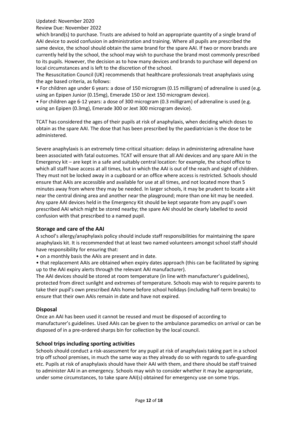Updated: November 2020

Review Due: November 2022

which brand(s) to purchase. Trusts are advised to hold an appropriate quantity of a single brand of AAI device to avoid confusion in administration and training. Where all pupils are prescribed the same device, the school should obtain the same brand for the spare AAI. If two or more brands are currently held by the school, the school may wish to purchase the brand most commonly prescribed to its pupils. However, the decision as to how many devices and brands to purchase will depend on local circumstances and is left to the discretion of the school.

The Resuscitation Council (UK) recommends that healthcare professionals treat anaphylaxis using the age based criteria, as follows:

• For children age under 6 years: a dose of 150 microgram (0.15 milligram) of adrenaline is used (e.g. using an Epipen Junior (0.15mg), Emerade 150 or Jext 150 microgram device).

• For children age 6-12 years: a dose of 300 microgram (0.3 milligram) of adrenaline is used (e.g. using an Epipen (0.3mg), Emerade 300 or Jext 300 microgram device).

TCAT has considered the ages of their pupils at risk of anaphylaxis, when deciding which doses to obtain as the spare AAI. The dose that has been prescribed by the paediatrician is the dose to be administered.

Severe anaphylaxis is an extremely time-critical situation: delays in administering adrenaline have been associated with fatal outcomes. TCAT will ensure that all AAI devices and any spare AAI in the Emergency kit – are kept in a safe and suitably central location: for example, the school office to which all staff have access at all times, but in which the AAI is out of the reach and sight of children. They must not be locked away in a cupboard or an office where access is restricted. Schools should ensure that AAIs are accessible and available for use at all times, and not located more than 5 minutes away from where they may be needed. In larger schools, it may be prudent to locate a kit near the central dining area and another near the playground; more than one kit may be needed. Any spare AAI devices held in the Emergency Kit should be kept separate from any pupil's own prescribed AAI which might be stored nearby; the spare AAI should be clearly labelled to avoid confusion with that prescribed to a named pupil.

#### **Storage and care of the AAI**

A school's allergy/anaphylaxis policy should include staff responsibilities for maintaining the spare anaphylaxis kit. It is recommended that at least two named volunteers amongst school staff should have responsibility for ensuring that:

• on a monthly basis the AAIs are present and in date.

• that replacement AAIs are obtained when expiry dates approach (this can be facilitated by signing up to the AAI expiry alerts through the relevant AAI manufacturer).

The AAI devices should be stored at room temperature (in line with manufacturer's guidelines), protected from direct sunlight and extremes of temperature. Schools may wish to require parents to take their pupil's own prescribed AAIs home before school holidays (including half-term breaks) to ensure that their own AAIs remain in date and have not expired.

#### **Disposal**

Once an AAI has been used it cannot be reused and must be disposed of according to manufacturer's guidelines. Used AAIs can be given to the ambulance paramedics on arrival or can be disposed of in a pre-ordered sharps bin for collection by the local council.

#### **School trips including sporting activities**

Schools should conduct a risk-assessment for any pupil at risk of anaphylaxis taking part in a school trip off school premises, in much the same way as they already do so with regards to safe-guarding etc. Pupils at risk of anaphylaxis should have their AAI with them, and there should be staff trained to administer AAI in an emergency. Schools may wish to consider whether it may be appropriate, under some circumstances, to take spare AAI(s) obtained for emergency use on some trips.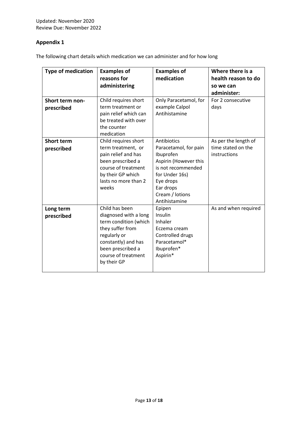#### **Appendix 1**

The following chart details which medication we can administer and for how long

| <b>Type of medication</b>            | <b>Examples of</b><br>reasons for<br>administering                                                                                                                                     | <b>Examples of</b><br>medication                                                                                                                                                 | Where there is a<br>health reason to do<br>so we can<br>administer: |
|--------------------------------------|----------------------------------------------------------------------------------------------------------------------------------------------------------------------------------------|----------------------------------------------------------------------------------------------------------------------------------------------------------------------------------|---------------------------------------------------------------------|
| <b>Short term non-</b><br>prescribed | Child requires short<br>term treatment or<br>pain relief which can<br>be treated with over<br>the counter<br>medication                                                                | Only Paracetamol, for<br>example Calpol<br>Antihistamine                                                                                                                         | For 2 consecutive<br>days                                           |
| <b>Short term</b><br>prescribed      | Child requires short<br>term treatment, or<br>pain relief and has<br>been prescribed a<br>course of treatment<br>by their GP which<br>lasts no more than 2<br>weeks                    | Antibiotics<br>Paracetamol, for pain<br>Ibuprofen<br>Aspirin (However this<br>is not recommended<br>for Under 16s)<br>Eye drops<br>Ear drops<br>Cream / lotions<br>Antihistamine | As per the length of<br>time stated on the<br>instructions          |
| Long term<br>prescribed              | Child has been<br>diagnosed with a long<br>term condition (which<br>they suffer from<br>regularly or<br>constantly) and has<br>been prescribed a<br>course of treatment<br>by their GP | Epipen<br>Insulin<br>Inhaler<br>Eczema cream<br>Controlled drugs<br>Paracetamol*<br>Ibuprofen*<br>Aspirin*                                                                       | As and when required                                                |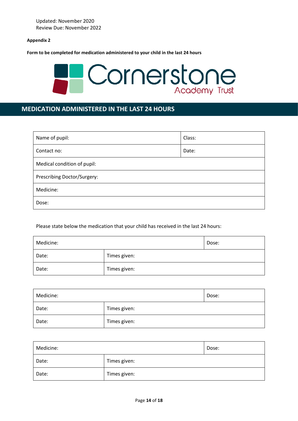**Appendix 2**

**Form to be completed for medication administered to your child in the last 24 hours**



## **MEDICATION ADMINISTERED IN THE LAST 24 HOURS**

| Name of pupil:              | Class: |  |
|-----------------------------|--------|--|
| Contact no:                 | Date:  |  |
| Medical condition of pupil: |        |  |
| Prescribing Doctor/Surgery: |        |  |
| Medicine:                   |        |  |
| Dose:                       |        |  |

Please state below the medication that your child has received in the last 24 hours:

| Medicine: |              | Dose: |
|-----------|--------------|-------|
| Date:     | Times given: |       |
| Date:     | Times given: |       |

| Medicine: |              | Dose: |
|-----------|--------------|-------|
| Date:     | Times given: |       |
| Date:     | Times given: |       |

| Medicine: |              | Dose: |
|-----------|--------------|-------|
| Date:     | Times given: |       |
| Date:     | Times given: |       |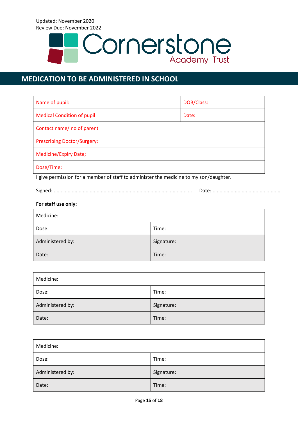

## **MEDICATION TO BE ADMINISTERED IN SCHOOL**

| Name of pupil:                     | DOB/Class: |  |
|------------------------------------|------------|--|
| <b>Medical Condition of pupil</b>  | Date:      |  |
| Contact name/ no of parent         |            |  |
| <b>Prescribing Doctor/Surgery:</b> |            |  |
| <b>Medicine/Expiry Date;</b>       |            |  |
| Dose/Time:                         |            |  |

I give permission for a member of staff to administer the medicine to my son/daughter.

Signed:..................................................................................................... Date:..................................................

#### **For staff use only:**

| Medicine:        |            |
|------------------|------------|
| Dose:            | Time:      |
| Administered by: | Signature: |
| Date:            | Time:      |

| Medicine:        |            |
|------------------|------------|
| Dose:            | Time:      |
| Administered by: | Signature: |
| Date:            | Time:      |

| Medicine:        |            |
|------------------|------------|
| Dose:            | Time:      |
| Administered by: | Signature: |
| Date:            | Time:      |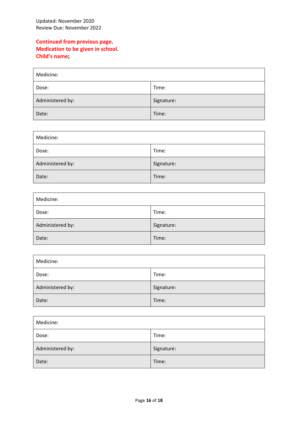## **Continued from previous page. Medication to be given in school. Child's name;**

| Medicine:        |            |
|------------------|------------|
| Dose:            | Time:      |
| Administered by: | Signature: |
| Date:            | Time:      |

| Medicine:        |            |
|------------------|------------|
| Dose:            | Time:      |
| Administered by: | Signature: |
| Date:            | Time:      |

| Medicine:        |            |
|------------------|------------|
| Dose:            | Time:      |
| Administered by: | Signature: |
| Date:            | Time:      |

| Medicine:        |            |
|------------------|------------|
| Dose:            | Time:      |
| Administered by: | Signature: |
| Date:            | Time:      |

| Medicine:        |            |
|------------------|------------|
| Dose:            | Time:      |
| Administered by: | Signature: |
| Date:            | Time:      |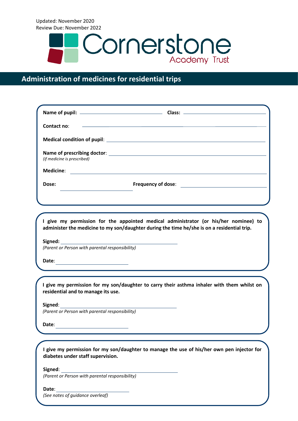

## **Administration of medicines for residential trips**

| Contact no:                                                                         | <u> 1989 - Andrea Stadt Britain, amerikansk politik (* 1908)</u>                                                                                                                    |
|-------------------------------------------------------------------------------------|-------------------------------------------------------------------------------------------------------------------------------------------------------------------------------------|
|                                                                                     |                                                                                                                                                                                     |
| (if medicine is prescribed)                                                         |                                                                                                                                                                                     |
| <b>Medicine:</b>                                                                    | <u> 1980 - Johann Barn, mars ann an t-Amhain Aonaich an t-Aonaich an t-Aonaich ann an t-Aonaich ann an t-Aonaich</u>                                                                |
| Dose:<br>the control of the control of the control of the control of the control of |                                                                                                                                                                                     |
|                                                                                     |                                                                                                                                                                                     |
|                                                                                     |                                                                                                                                                                                     |
|                                                                                     | I give my permission for the appointed medical administrator (or his/her nominee) to<br>administer the medicine to my son/daughter during the time he/she is on a residential trip. |
| (Parent or Person with parental responsibility)                                     |                                                                                                                                                                                     |
| Date:<br><u> 1980 - Johann Barbara, martin a</u>                                    |                                                                                                                                                                                     |
|                                                                                     |                                                                                                                                                                                     |
| residential and to manage its use.                                                  | I give my permission for my son/daughter to carry their asthma inhaler with them whilst on                                                                                          |
| Signed:                                                                             |                                                                                                                                                                                     |
| (Parent or Person with parental responsibility)                                     |                                                                                                                                                                                     |
| Date:<br><u> 1989 - Johann Barn, mars ann an t-A</u>                                |                                                                                                                                                                                     |
|                                                                                     |                                                                                                                                                                                     |
| diabetes under staff supervision.                                                   | I give my permission for my son/daughter to manage the use of his/her own pen injector for                                                                                          |
| Signed:                                                                             |                                                                                                                                                                                     |

*(Parent or Person with parental responsibility)*

**Date**:

*(See notes of guidance overleaf)*